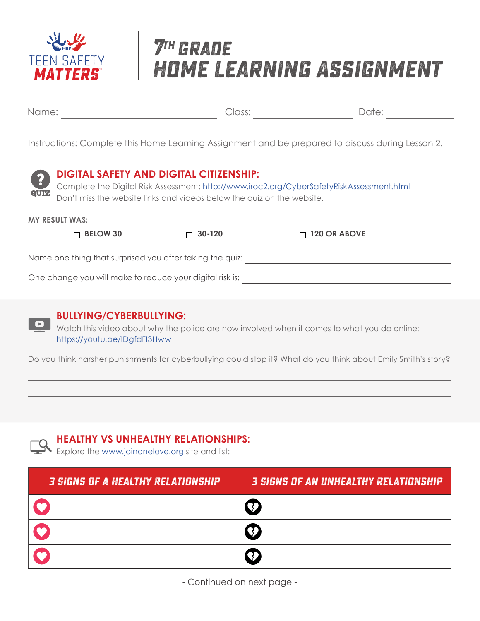

# **7th grade Home Learning Assignment**

Name: Date: Class:

Instructions: Complete this Home Learning Assignment and be prepared to discuss during Lesson 2.



### **DIGITAL SAFETY AND DIGITAL CITIZENSHIP:**

Complete the Digital Risk Assessment: http://www.iroc2.org/CyberSafetyRiskAssessment.html Don't miss the website links and videos below the quiz on the website.

**MY RESULT WAS:**

 **BELOW 30 30-120 120 OR ABOVE**

Name one thing that surprised you after taking the quiz:

One change you will make to reduce your digital risk is:



#### **BULLYING/CYBERBULLYING:**

Watch this video about why the police are now involved when it comes to what you do online: https://youtu.be/lDgfdFI3Hww

Do you think harsher punishments for cyberbullying could stop it? What do you think about Emily Smith's story?

### **HEALTHY VS UNHEALTHY RELATIONSHIPS:**

Explore the www.joinonelove.org site and list:

| <b>3 SIGNS OF A HEALTHY RELATIONSHIP</b> | <b>3 SIGNS OF AN UNHEALTHY RELATIONSHIP</b> |
|------------------------------------------|---------------------------------------------|
|                                          |                                             |
|                                          |                                             |
|                                          |                                             |

- Continued on next page -